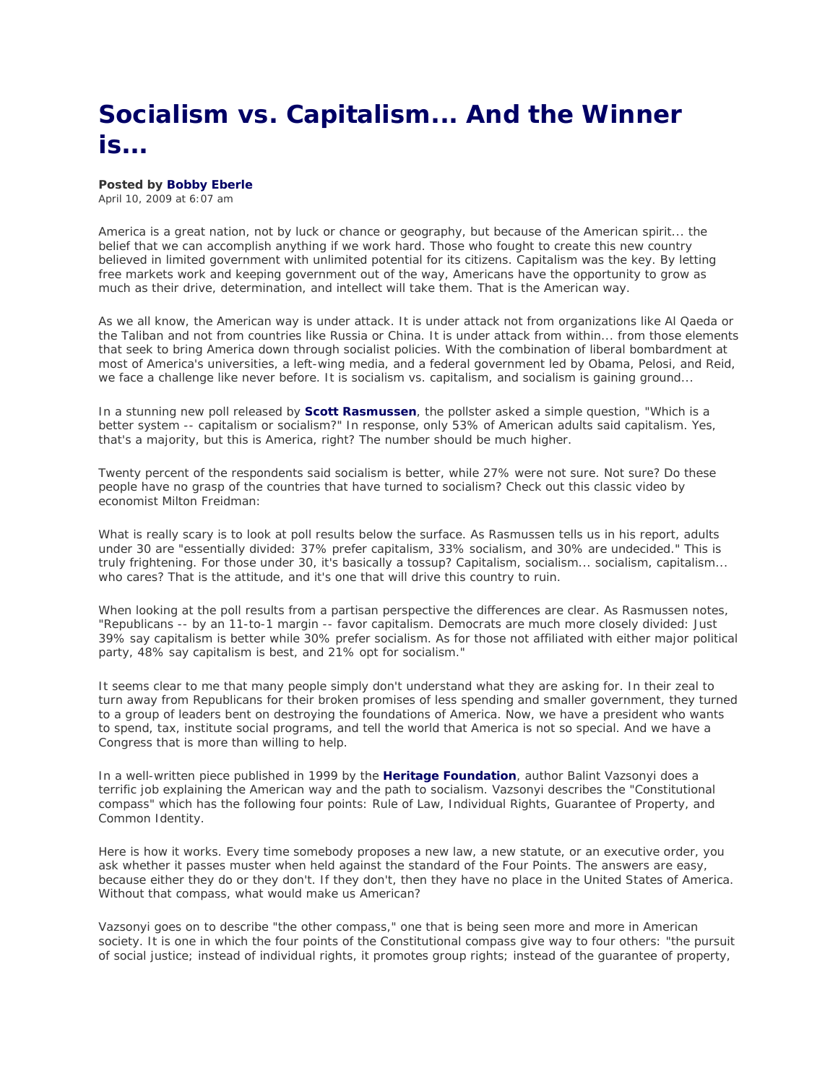## **Socialism vs. Capitalism... And the Winner is...**

## **Posted by Bobby Eberle**

April 10, 2009 at 6:07 am

America is a great nation, not by luck or chance or geography, but because of the American spirit... the belief that we can accomplish anything if we work hard. Those who fought to create this new country believed in limited government with unlimited potential for its citizens. Capitalism was the key. By letting free markets work and keeping government out of the way, Americans have the opportunity to grow as much as their drive, determination, and intellect will take them. That is the American way.

As we all know, the American way is under attack. It is under attack not from organizations like Al Qaeda or the Taliban and not from countries like Russia or China. It is under attack from within... from those elements that seek to bring America down through socialist policies. With the combination of liberal bombardment at most of America's universities, a left-wing media, and a federal government led by Obama, Pelosi, and Reid, we face a challenge like never before. It is socialism vs. capitalism, and socialism is gaining ground...

In a stunning new poll released by **Scott Rasmussen**, the pollster asked a simple question, "Which is a better system -- capitalism or socialism?" In response, only 53% of American adults said capitalism. Yes, that's a majority, but this is America, right? The number should be much higher.

Twenty percent of the respondents said socialism is better, while 27% were not sure. Not sure? Do these people have no grasp of the countries that have turned to socialism? Check out this classic video by economist Milton Freidman:

What is really scary is to look at poll results below the surface. As Rasmussen tells us in his report, adults under 30 are "essentially divided: 37% prefer capitalism, 33% socialism, and 30% are undecided." This is truly frightening. For those under 30, it's basically a tossup? Capitalism, socialism... socialism, capitalism... who cares? That is the attitude, and it's one that will drive this country to ruin.

When looking at the poll results from a partisan perspective the differences are clear. As Rasmussen notes, "Republicans -- by an 11-to-1 margin -- favor capitalism. Democrats are much more closely divided: Just 39% say capitalism is better while 30% prefer socialism. As for those not affiliated with either major political party, 48% say capitalism is best, and 21% opt for socialism."

It seems clear to me that many people simply don't understand what they are asking for. In their zeal to turn away from Republicans for their broken promises of less spending and smaller government, they turned to a group of leaders bent on destroying the foundations of America. Now, we have a president who wants to spend, tax, institute social programs, and tell the world that America is not so special. And we have a Congress that is more than willing to help.

In a well-written piece published in 1999 by the **Heritage Foundation**, author Balint Vazsonyi does a terrific job explaining the American way and the path to socialism. Vazsonyi describes the "Constitutional compass" which has the following four points: Rule of Law, Individual Rights, Guarantee of Property, and Common Identity.

Here is how it works. Every time somebody proposes a new law, a new statute, or an executive order, you ask whether it passes muster when held against the standard of the Four Points. The answers are easy, because either they do or they don't. If they don't, then they have no place in the United States of America. Without that compass, what would make us American?

Vazsonyi goes on to describe "the other compass," one that is being seen more and more in American society. It is one in which the four points of the Constitutional compass give way to four others: "the pursuit of social justice; instead of individual rights, it promotes group rights; instead of the guarantee of property,